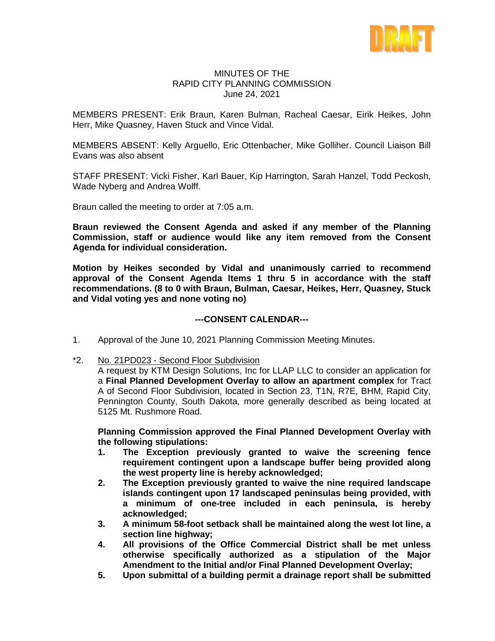

### MINUTES OF THE RAPID CITY PLANNING COMMISSION June 24, 2021

MEMBERS PRESENT: Erik Braun, Karen Bulman, Racheal Caesar, Eirik Heikes, John Herr, Mike Quasney, Haven Stuck and Vince Vidal.

MEMBERS ABSENT: Kelly Arguello, Eric Ottenbacher, Mike Golliher. Council Liaison Bill Evans was also absent

STAFF PRESENT: Vicki Fisher, Karl Bauer, Kip Harrington, Sarah Hanzel, Todd Peckosh, Wade Nyberg and Andrea Wolff.

Braun called the meeting to order at 7:05 a.m.

**Braun reviewed the Consent Agenda and asked if any member of the Planning Commission, staff or audience would like any item removed from the Consent Agenda for individual consideration.**

**Motion by Heikes seconded by Vidal and unanimously carried to recommend approval of the Consent Agenda Items 1 thru 5 in accordance with the staff recommendations. (8 to 0 with Braun, Bulman, Caesar, Heikes, Herr, Quasney, Stuck and Vidal voting yes and none voting no)**

## **---CONSENT CALENDAR---**

- 1. Approval of the June 10, 2021 Planning Commission Meeting Minutes.
- \*2. No. 21PD023 Second Floor Subdivision

A request by KTM Design Solutions, Inc for LLAP LLC to consider an application for a **Final Planned Development Overlay to allow an apartment complex** for Tract A of Second Floor Subdivision, located in Section 23, T1N, R7E, BHM, Rapid City, Pennington County, South Dakota, more generally described as being located at 5125 Mt. Rushmore Road.

**Planning Commission approved the Final Planned Development Overlay with the following stipulations:** 

- **1. The Exception previously granted to waive the screening fence requirement contingent upon a landscape buffer being provided along the west property line is hereby acknowledged;**
- **2. The Exception previously granted to waive the nine required landscape islands contingent upon 17 landscaped peninsulas being provided, with a minimum of one-tree included in each peninsula, is hereby acknowledged;**
- **3. A minimum 58-foot setback shall be maintained along the west lot line, a section line highway;**
- **4. All provisions of the Office Commercial District shall be met unless otherwise specifically authorized as a stipulation of the Major Amendment to the Initial and/or Final Planned Development Overlay;**
- **5. Upon submittal of a building permit a drainage report shall be submitted**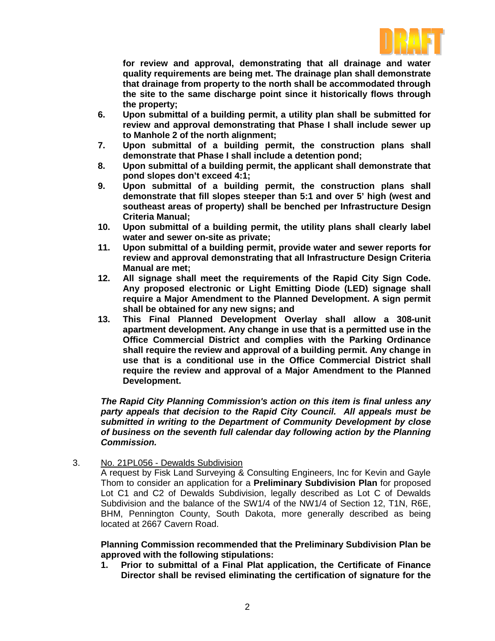

**for review and approval, demonstrating that all drainage and water quality requirements are being met. The drainage plan shall demonstrate that drainage from property to the north shall be accommodated through the site to the same discharge point since it historically flows through the property;**

- **6. Upon submittal of a building permit, a utility plan shall be submitted for review and approval demonstrating that Phase I shall include sewer up to Manhole 2 of the north alignment;**
- **7. Upon submittal of a building permit, the construction plans shall demonstrate that Phase I shall include a detention pond;**
- **8. Upon submittal of a building permit, the applicant shall demonstrate that pond slopes don't exceed 4:1;**
- **9. Upon submittal of a building permit, the construction plans shall demonstrate that fill slopes steeper than 5:1 and over 5' high (west and southeast areas of property) shall be benched per Infrastructure Design Criteria Manual;**
- **10. Upon submittal of a building permit, the utility plans shall clearly label water and sewer on-site as private;**
- **11. Upon submittal of a building permit, provide water and sewer reports for review and approval demonstrating that all Infrastructure Design Criteria Manual are met;**
- **12. All signage shall meet the requirements of the Rapid City Sign Code. Any proposed electronic or Light Emitting Diode (LED) signage shall require a Major Amendment to the Planned Development. A sign permit shall be obtained for any new signs; and**
- **13. This Final Planned Development Overlay shall allow a 308-unit apartment development. Any change in use that is a permitted use in the Office Commercial District and complies with the Parking Ordinance shall require the review and approval of a building permit. Any change in use that is a conditional use in the Office Commercial District shall require the review and approval of a Major Amendment to the Planned Development.**

*The Rapid City Planning Commission's action on this item is final unless any party appeals that decision to the Rapid City Council. All appeals must be submitted in writing to the Department of Community Development by close of business on the seventh full calendar day following action by the Planning Commission.*

3. No. 21PL056 - Dewalds Subdivision

A request by Fisk Land Surveying & Consulting Engineers, Inc for Kevin and Gayle Thom to consider an application for a **Preliminary Subdivision Plan** for proposed Lot C1 and C2 of Dewalds Subdivision, legally described as Lot C of Dewalds Subdivision and the balance of the SW1/4 of the NW1/4 of Section 12, T1N, R6E, BHM, Pennington County, South Dakota, more generally described as being located at 2667 Cavern Road.

**Planning Commission recommended that the Preliminary Subdivision Plan be approved with the following stipulations:** 

**1. Prior to submittal of a Final Plat application, the Certificate of Finance Director shall be revised eliminating the certification of signature for the**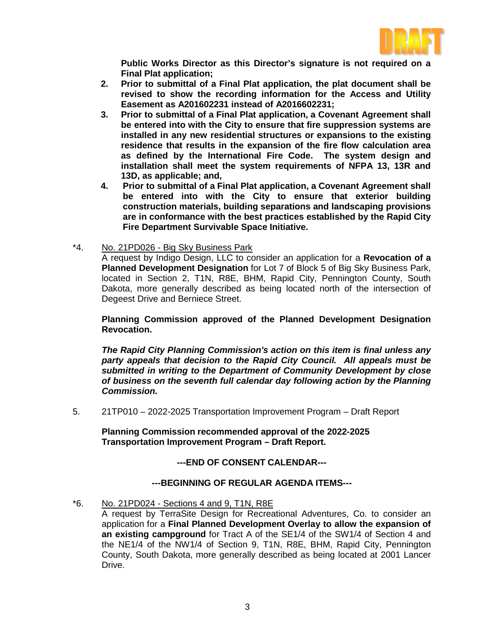

**Public Works Director as this Director's signature is not required on a Final Plat application;** 

- **2. Prior to submittal of a Final Plat application, the plat document shall be revised to show the recording information for the Access and Utility Easement as A201602231 instead of A2016602231;**
- **3. Prior to submittal of a Final Plat application, a Covenant Agreement shall be entered into with the City to ensure that fire suppression systems are installed in any new residential structures or expansions to the existing residence that results in the expansion of the fire flow calculation area as defined by the International Fire Code. The system design and installation shall meet the system requirements of NFPA 13, 13R and 13D, as applicable; and,**
- **4. Prior to submittal of a Final Plat application, a Covenant Agreement shall be entered into with the City to ensure that exterior building construction materials, building separations and landscaping provisions are in conformance with the best practices established by the Rapid City Fire Department Survivable Space Initiative.**
- \*4. No. 21PD026 Big Sky Business Park

A request by Indigo Design, LLC to consider an application for a **Revocation of a Planned Development Designation** for Lot 7 of Block 5 of Big Sky Business Park, located in Section 2, T1N, R8E, BHM, Rapid City, Pennington County, South Dakota, more generally described as being located north of the intersection of Degeest Drive and Berniece Street.

**Planning Commission approved of the Planned Development Designation Revocation.**

*The Rapid City Planning Commission's action on this item is final unless any party appeals that decision to the Rapid City Council. All appeals must be submitted in writing to the Department of Community Development by close of business on the seventh full calendar day following action by the Planning Commission.*

5. 21TP010 – 2022-2025 Transportation Improvement Program – Draft Report

**Planning Commission recommended approval of the 2022-2025 Transportation Improvement Program – Draft Report.**

# **---END OF CONSENT CALENDAR---**

# **---BEGINNING OF REGULAR AGENDA ITEMS---**

### \*6. No. 21PD024 - Sections 4 and 9, T1N, R8E

A request by TerraSite Design for Recreational Adventures, Co. to consider an application for a **Final Planned Development Overlay to allow the expansion of an existing campground** for Tract A of the SE1/4 of the SW1/4 of Section 4 and the NE1/4 of the NW1/4 of Section 9, T1N, R8E, BHM, Rapid City, Pennington County, South Dakota, more generally described as being located at 2001 Lancer Drive.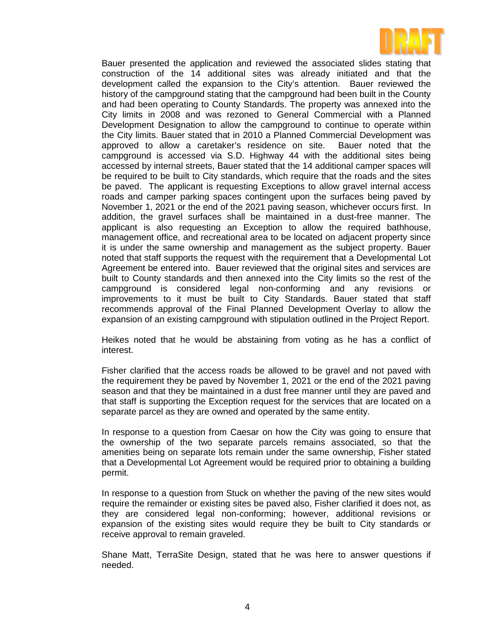

Bauer presented the application and reviewed the associated slides stating that construction of the 14 additional sites was already initiated and that the development called the expansion to the City's attention. Bauer reviewed the history of the campground stating that the campground had been built in the County and had been operating to County Standards. The property was annexed into the City limits in 2008 and was rezoned to General Commercial with a Planned Development Designation to allow the campground to continue to operate within the City limits. Bauer stated that in 2010 a Planned Commercial Development was approved to allow a caretaker's residence on site. Bauer noted that the campground is accessed via S.D. Highway 44 with the additional sites being accessed by internal streets, Bauer stated that the 14 additional camper spaces will be required to be built to City standards, which require that the roads and the sites be paved. The applicant is requesting Exceptions to allow gravel internal access roads and camper parking spaces contingent upon the surfaces being paved by November 1, 2021 or the end of the 2021 paving season, whichever occurs first. In addition, the gravel surfaces shall be maintained in a dust-free manner. The applicant is also requesting an Exception to allow the required bathhouse, management office, and recreational area to be located on adjacent property since it is under the same ownership and management as the subject property. Bauer noted that staff supports the request with the requirement that a Developmental Lot Agreement be entered into. Bauer reviewed that the original sites and services are built to County standards and then annexed into the City limits so the rest of the campground is considered legal non-conforming and any revisions or improvements to it must be built to City Standards. Bauer stated that staff recommends approval of the Final Planned Development Overlay to allow the expansion of an existing campground with stipulation outlined in the Project Report.

Heikes noted that he would be abstaining from voting as he has a conflict of interest.

Fisher clarified that the access roads be allowed to be gravel and not paved with the requirement they be paved by November 1, 2021 or the end of the 2021 paving season and that they be maintained in a dust free manner until they are paved and that staff is supporting the Exception request for the services that are located on a separate parcel as they are owned and operated by the same entity.

In response to a question from Caesar on how the City was going to ensure that the ownership of the two separate parcels remains associated, so that the amenities being on separate lots remain under the same ownership, Fisher stated that a Developmental Lot Agreement would be required prior to obtaining a building permit.

In response to a question from Stuck on whether the paving of the new sites would require the remainder or existing sites be paved also, Fisher clarified it does not, as they are considered legal non-conforming; however, additional revisions or expansion of the existing sites would require they be built to City standards or receive approval to remain graveled.

Shane Matt, TerraSite Design, stated that he was here to answer questions if needed.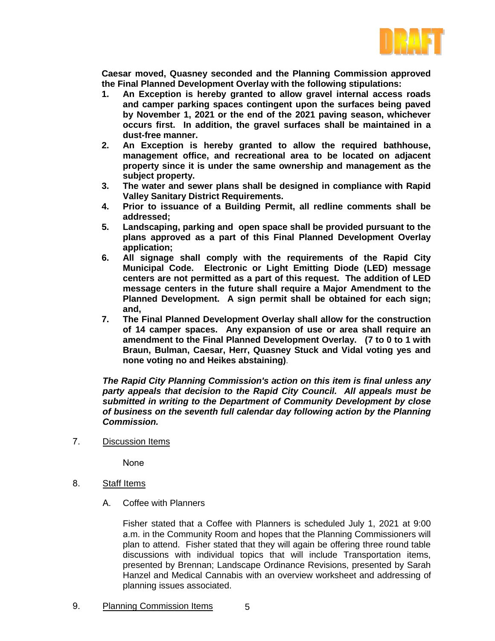

**Caesar moved, Quasney seconded and the Planning Commission approved the Final Planned Development Overlay with the following stipulations:** 

- **1. An Exception is hereby granted to allow gravel internal access roads and camper parking spaces contingent upon the surfaces being paved by November 1, 2021 or the end of the 2021 paving season, whichever occurs first. In addition, the gravel surfaces shall be maintained in a dust-free manner.**
- **2. An Exception is hereby granted to allow the required bathhouse, management office, and recreational area to be located on adjacent property since it is under the same ownership and management as the subject property.**
- **3. The water and sewer plans shall be designed in compliance with Rapid Valley Sanitary District Requirements.**
- **4. Prior to issuance of a Building Permit, all redline comments shall be addressed;**
- **5. Landscaping, parking and open space shall be provided pursuant to the plans approved as a part of this Final Planned Development Overlay application;**
- **6. All signage shall comply with the requirements of the Rapid City Municipal Code. Electronic or Light Emitting Diode (LED) message centers are not permitted as a part of this request. The addition of LED message centers in the future shall require a Major Amendment to the Planned Development. A sign permit shall be obtained for each sign; and,**
- **7. The Final Planned Development Overlay shall allow for the construction of 14 camper spaces. Any expansion of use or area shall require an amendment to the Final Planned Development Overlay. (7 to 0 to 1 with Braun, Bulman, Caesar, Herr, Quasney Stuck and Vidal voting yes and none voting no and Heikes abstaining)**.

*The Rapid City Planning Commission's action on this item is final unless any party appeals that decision to the Rapid City Council. All appeals must be submitted in writing to the Department of Community Development by close of business on the seventh full calendar day following action by the Planning Commission.*

7. Discussion Items

None

- 8. Staff Items
	- A. Coffee with Planners

Fisher stated that a Coffee with Planners is scheduled July 1, 2021 at 9:00 a.m. in the Community Room and hopes that the Planning Commissioners will plan to attend. Fisher stated that they will again be offering three round table discussions with individual topics that will include Transportation items, presented by Brennan; Landscape Ordinance Revisions, presented by Sarah Hanzel and Medical Cannabis with an overview worksheet and addressing of planning issues associated.

5

9. Planning Commission Items